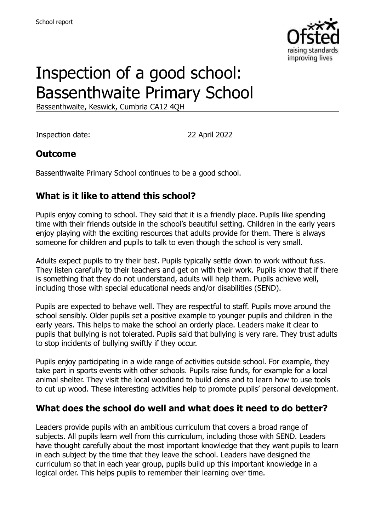

# Inspection of a good school: Bassenthwaite Primary School

Bassenthwaite, Keswick, Cumbria CA12 4QH

Inspection date: 22 April 2022

### **Outcome**

Bassenthwaite Primary School continues to be a good school.

### **What is it like to attend this school?**

Pupils enjoy coming to school. They said that it is a friendly place. Pupils like spending time with their friends outside in the school's beautiful setting. Children in the early years enjoy playing with the exciting resources that adults provide for them. There is always someone for children and pupils to talk to even though the school is very small.

Adults expect pupils to try their best. Pupils typically settle down to work without fuss. They listen carefully to their teachers and get on with their work. Pupils know that if there is something that they do not understand, adults will help them. Pupils achieve well, including those with special educational needs and/or disabilities (SEND).

Pupils are expected to behave well. They are respectful to staff. Pupils move around the school sensibly. Older pupils set a positive example to younger pupils and children in the early years. This helps to make the school an orderly place. Leaders make it clear to pupils that bullying is not tolerated. Pupils said that bullying is very rare. They trust adults to stop incidents of bullying swiftly if they occur.

Pupils enjoy participating in a wide range of activities outside school. For example, they take part in sports events with other schools. Pupils raise funds, for example for a local animal shelter. They visit the local woodland to build dens and to learn how to use tools to cut up wood. These interesting activities help to promote pupils' personal development.

#### **What does the school do well and what does it need to do better?**

Leaders provide pupils with an ambitious curriculum that covers a broad range of subjects. All pupils learn well from this curriculum, including those with SEND. Leaders have thought carefully about the most important knowledge that they want pupils to learn in each subject by the time that they leave the school. Leaders have designed the curriculum so that in each year group, pupils build up this important knowledge in a logical order. This helps pupils to remember their learning over time.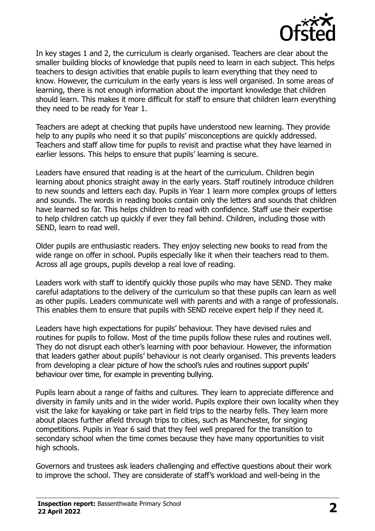

In key stages 1 and 2, the curriculum is clearly organised. Teachers are clear about the smaller building blocks of knowledge that pupils need to learn in each subject. This helps teachers to design activities that enable pupils to learn everything that they need to know. However, the curriculum in the early years is less well organised. In some areas of learning, there is not enough information about the important knowledge that children should learn. This makes it more difficult for staff to ensure that children learn everything they need to be ready for Year 1.

Teachers are adept at checking that pupils have understood new learning. They provide help to any pupils who need it so that pupils' misconceptions are quickly addressed. Teachers and staff allow time for pupils to revisit and practise what they have learned in earlier lessons. This helps to ensure that pupils' learning is secure.

Leaders have ensured that reading is at the heart of the curriculum. Children begin learning about phonics straight away in the early years. Staff routinely introduce children to new sounds and letters each day. Pupils in Year 1 learn more complex groups of letters and sounds. The words in reading books contain only the letters and sounds that children have learned so far. This helps children to read with confidence. Staff use their expertise to help children catch up quickly if ever they fall behind. Children, including those with SEND, learn to read well.

Older pupils are enthusiastic readers. They enjoy selecting new books to read from the wide range on offer in school. Pupils especially like it when their teachers read to them. Across all age groups, pupils develop a real love of reading.

Leaders work with staff to identify quickly those pupils who may have SEND. They make careful adaptations to the delivery of the curriculum so that these pupils can learn as well as other pupils. Leaders communicate well with parents and with a range of professionals. This enables them to ensure that pupils with SEND receive expert help if they need it.

Leaders have high expectations for pupils' behaviour. They have devised rules and routines for pupils to follow. Most of the time pupils follow these rules and routines well. They do not disrupt each other's learning with poor behaviour. However, the information that leaders gather about pupils' behaviour is not clearly organised. This prevents leaders from developing a clear picture of how the school's rules and routines support pupils' behaviour over time, for example in preventing bullying.

Pupils learn about a range of faiths and cultures. They learn to appreciate difference and diversity in family units and in the wider world. Pupils explore their own locality when they visit the lake for kayaking or take part in field trips to the nearby fells. They learn more about places further afield through trips to cities, such as Manchester, for singing competitions. Pupils in Year 6 said that they feel well prepared for the transition to secondary school when the time comes because they have many opportunities to visit high schools.

Governors and trustees ask leaders challenging and effective questions about their work to improve the school. They are considerate of staff's workload and well-being in the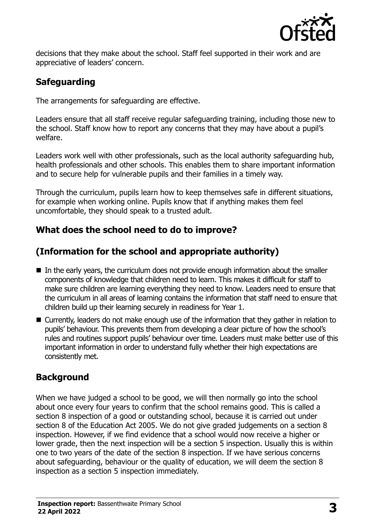

decisions that they make about the school. Staff feel supported in their work and are appreciative of leaders' concern.

## **Safeguarding**

The arrangements for safeguarding are effective.

Leaders ensure that all staff receive regular safeguarding training, including those new to the school. Staff know how to report any concerns that they may have about a pupil's welfare.

Leaders work well with other professionals, such as the local authority safeguarding hub, health professionals and other schools. This enables them to share important information and to secure help for vulnerable pupils and their families in a timely way.

Through the curriculum, pupils learn how to keep themselves safe in different situations, for example when working online. Pupils know that if anything makes them feel uncomfortable, they should speak to a trusted adult.

## **What does the school need to do to improve?**

## **(Information for the school and appropriate authority)**

- In the early years, the curriculum does not provide enough information about the smaller components of knowledge that children need to learn. This makes it difficult for staff to make sure children are learning everything they need to know. Leaders need to ensure that the curriculum in all areas of learning contains the information that staff need to ensure that children build up their learning securely in readiness for Year 1.
- Currently, leaders do not make enough use of the information that they gather in relation to pupils' behaviour. This prevents them from developing a clear picture of how the school's rules and routines support pupils' behaviour over time. Leaders must make better use of this important information in order to understand fully whether their high expectations are consistently met.

## **Background**

When we have judged a school to be good, we will then normally go into the school about once every four years to confirm that the school remains good. This is called a section 8 inspection of a good or outstanding school, because it is carried out under section 8 of the Education Act 2005. We do not give graded judgements on a section 8 inspection. However, if we find evidence that a school would now receive a higher or lower grade, then the next inspection will be a section 5 inspection. Usually this is within one to two years of the date of the section 8 inspection. If we have serious concerns about safeguarding, behaviour or the quality of education, we will deem the section 8 inspection as a section 5 inspection immediately.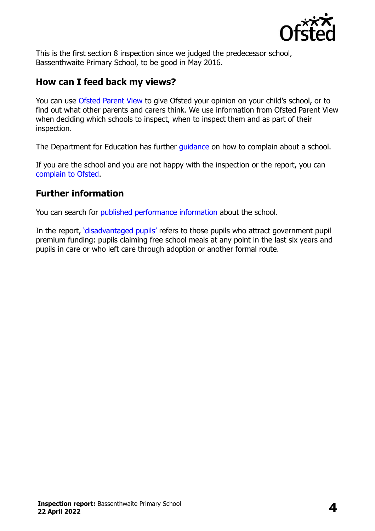

This is the first section 8 inspection since we judged the predecessor school, Bassenthwaite Primary School, to be good in May 2016.

#### **How can I feed back my views?**

You can use [Ofsted Parent View](https://parentview.ofsted.gov.uk/) to give Ofsted your opinion on your child's school, or to find out what other parents and carers think. We use information from Ofsted Parent View when deciding which schools to inspect, when to inspect them and as part of their inspection.

The Department for Education has further quidance on how to complain about a school.

If you are the school and you are not happy with the inspection or the report, you can [complain to Ofsted.](https://www.gov.uk/complain-ofsted-report)

### **Further information**

You can search for [published performance information](http://www.compare-school-performance.service.gov.uk/) about the school.

In the report, '[disadvantaged pupils](http://www.gov.uk/guidance/pupil-premium-information-for-schools-and-alternative-provision-settings)' refers to those pupils who attract government pupil premium funding: pupils claiming free school meals at any point in the last six years and pupils in care or who left care through adoption or another formal route.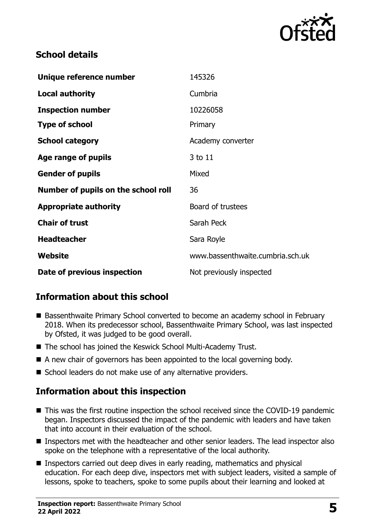

## **School details**

| Unique reference number             | 145326                           |
|-------------------------------------|----------------------------------|
| <b>Local authority</b>              | Cumbria                          |
| <b>Inspection number</b>            | 10226058                         |
| <b>Type of school</b>               | Primary                          |
| <b>School category</b>              | Academy converter                |
| Age range of pupils                 | 3 to 11                          |
| <b>Gender of pupils</b>             | Mixed                            |
| Number of pupils on the school roll | 36                               |
| <b>Appropriate authority</b>        | Board of trustees                |
| <b>Chair of trust</b>               | Sarah Peck                       |
| <b>Headteacher</b>                  | Sara Royle                       |
| Website                             | www.bassenthwaite.cumbria.sch.uk |
| Date of previous inspection         | Not previously inspected         |

## **Information about this school**

- Bassenthwaite Primary School converted to become an academy school in February 2018. When its predecessor school, Bassenthwaite Primary School, was last inspected by Ofsted, it was judged to be good overall.
- The school has joined the Keswick School Multi-Academy Trust.
- A new chair of governors has been appointed to the local governing body.
- School leaders do not make use of any alternative providers.

### **Information about this inspection**

- This was the first routine inspection the school received since the COVID-19 pandemic began. Inspectors discussed the impact of the pandemic with leaders and have taken that into account in their evaluation of the school.
- Inspectors met with the headteacher and other senior leaders. The lead inspector also spoke on the telephone with a representative of the local authority.
- Inspectors carried out deep dives in early reading, mathematics and physical education. For each deep dive, inspectors met with subject leaders, visited a sample of lessons, spoke to teachers, spoke to some pupils about their learning and looked at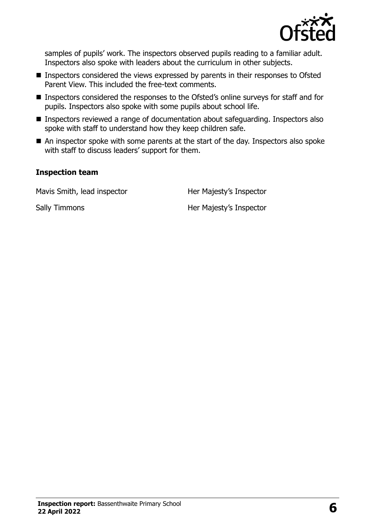

samples of pupils' work. The inspectors observed pupils reading to a familiar adult. Inspectors also spoke with leaders about the curriculum in other subjects.

- Inspectors considered the views expressed by parents in their responses to Ofsted Parent View. This included the free-text comments.
- Inspectors considered the responses to the Ofsted's online surveys for staff and for pupils. Inspectors also spoke with some pupils about school life.
- Inspectors reviewed a range of documentation about safeguarding. Inspectors also spoke with staff to understand how they keep children safe.
- An inspector spoke with some parents at the start of the day. Inspectors also spoke with staff to discuss leaders' support for them.

#### **Inspection team**

Mavis Smith, lead inspector **Her Majesty's Inspector** 

Sally Timmons **Her Majesty's Inspector**